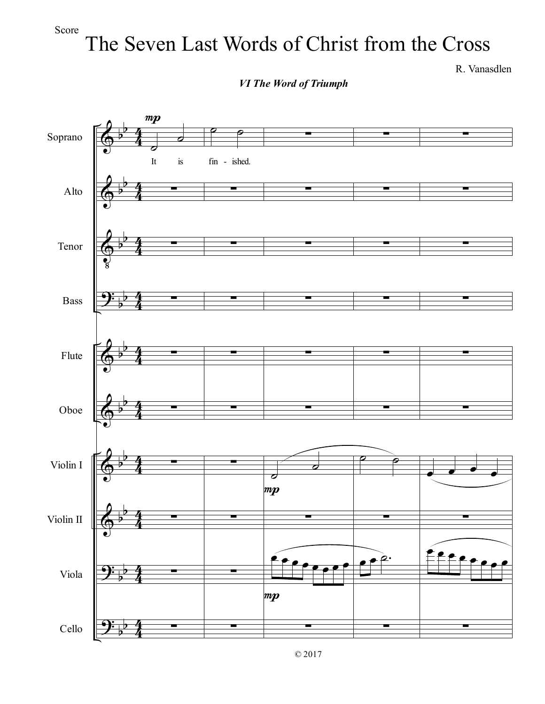## The Seven Last Words of Christ from the Cross

R. Vanasdlen

## *VI The Word of Triumph*

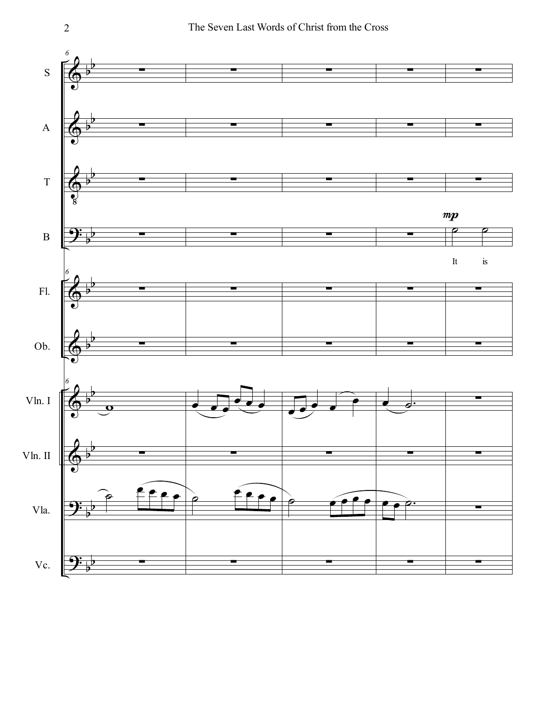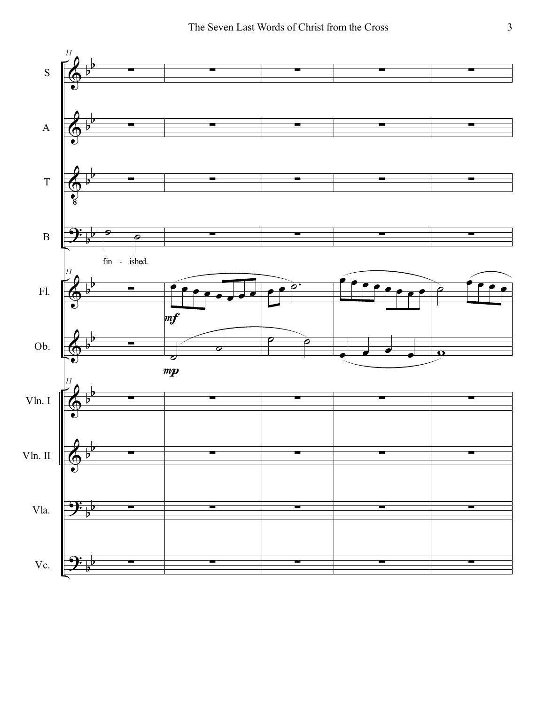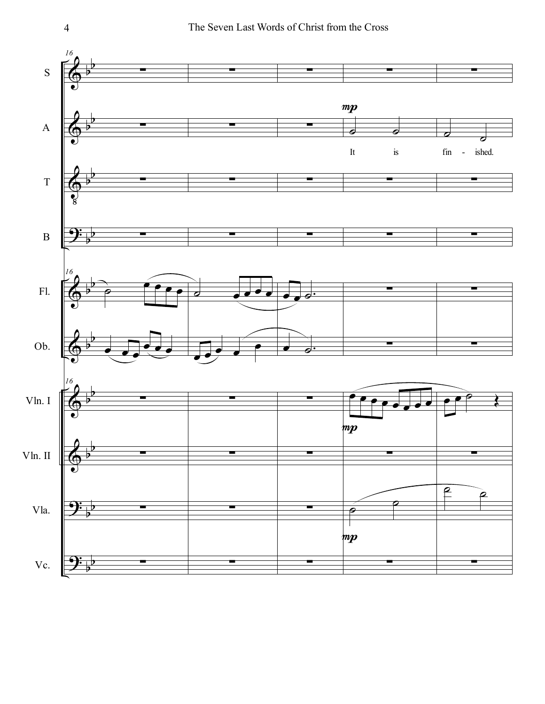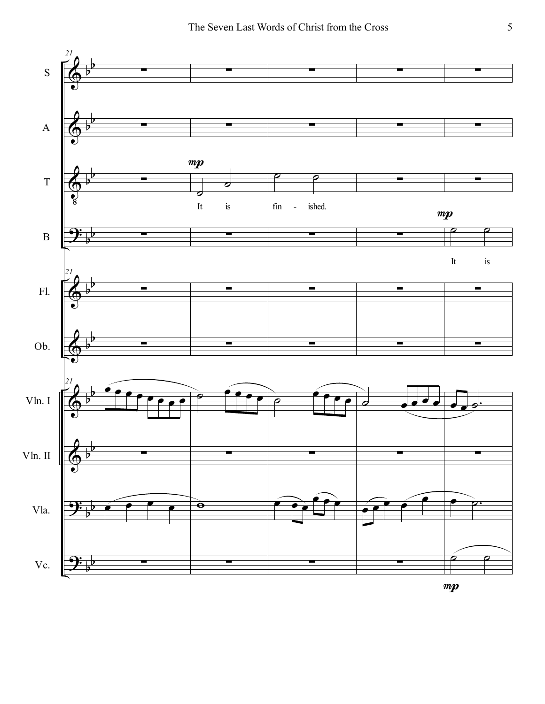

 $\eta p$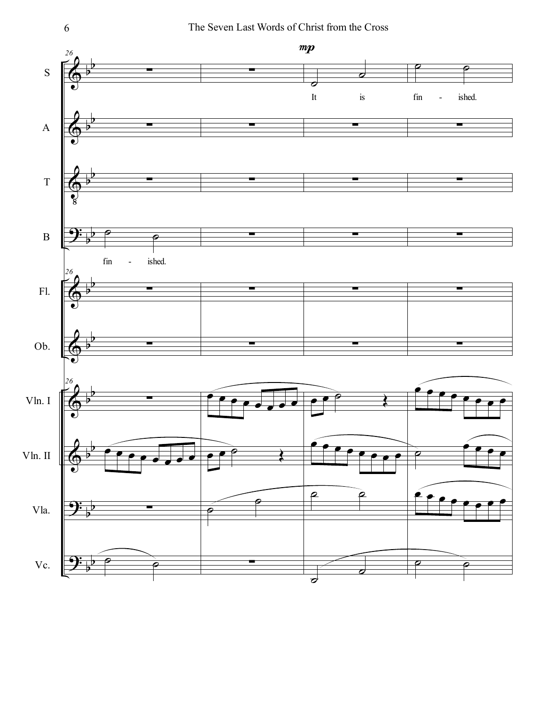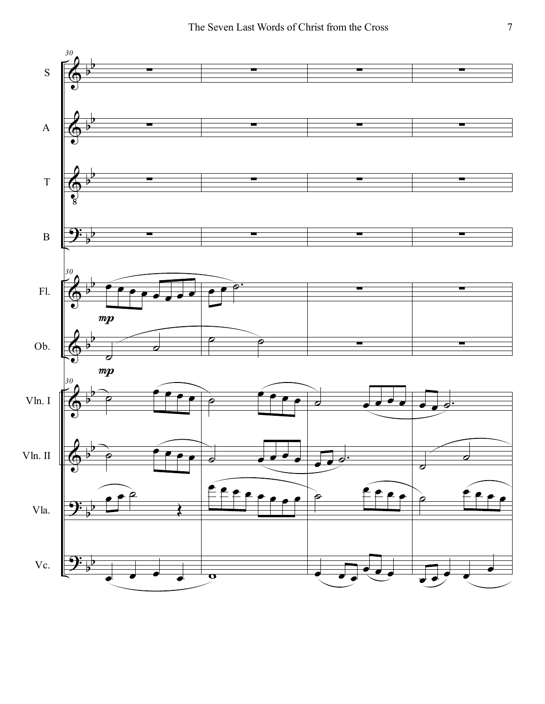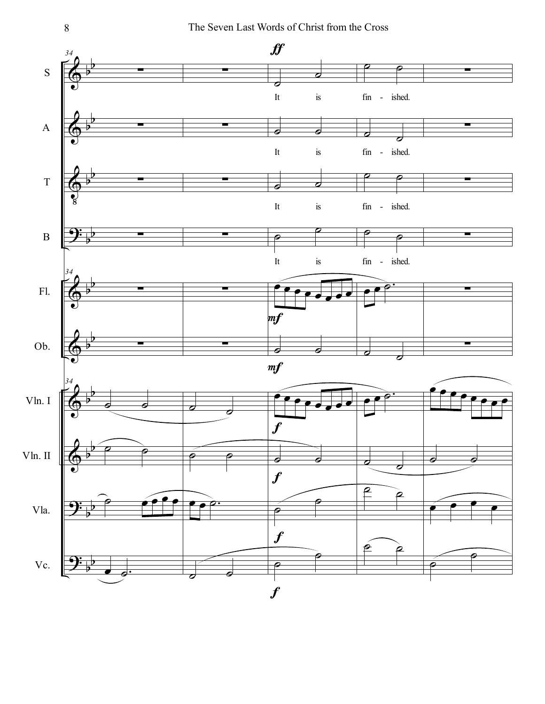

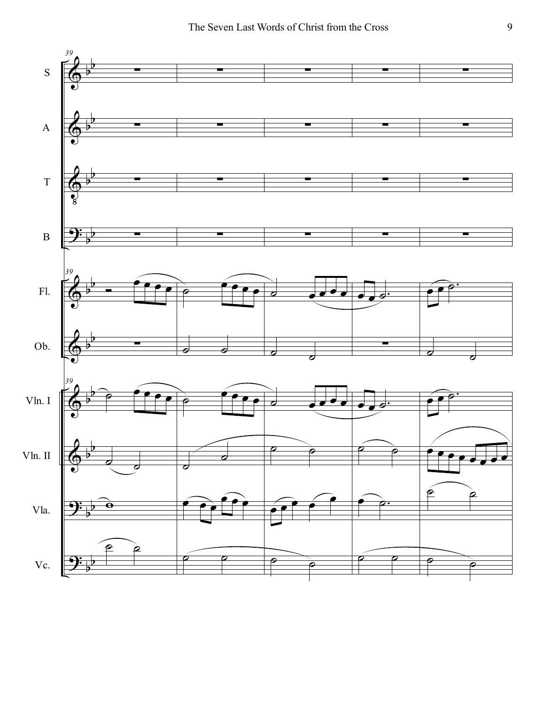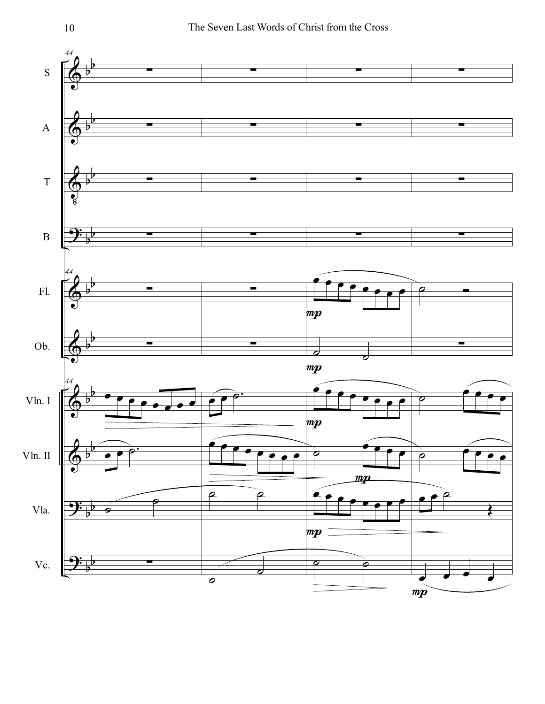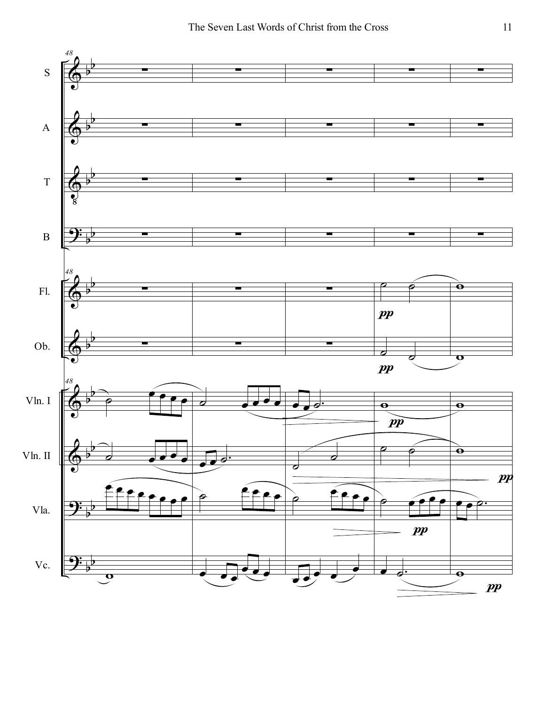